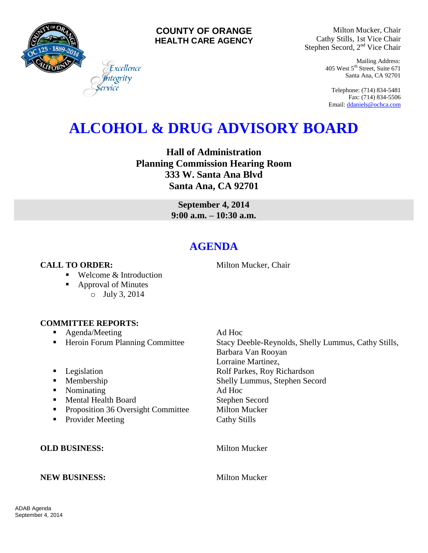

### **COUNTY OF ORANGE HEALTH CARE AGENCY**

Milton Mucker, Chair Cathy Stills, 1st Vice Chair Stephen Secord, 2<sup>nd</sup> Vice Chair

> Mailing Address: 405 West 5th Street, Suite 671 Santa Ana, CA 92701

Telephone: (714) 834-5481 Fax: (714) 834-5506 Email[: ddaniels@ochca.com](mailto:ddaniels@ochca.com)

# **ALCOHOL & DRUG ADVISORY BOARD**

**Hall of Administration Planning Commission Hearing Room 333 W. Santa Ana Blvd Santa Ana, CA 92701**

> **September 4, 2014 9:00 a.m. – 10:30 a.m.**

## **AGENDA**

**CALL TO ORDER:** Milton Mucker, Chair

■ Welcome & Introduction

Excellence egrity

■ Approval of Minutes o July 3, 2014

#### **COMMITTEE REPORTS:**

- Agenda/Meeting Ad Hoc
- 
- 
- 
- Nominating Ad Hoc
- Mental Health Board Stephen Secord
- **Proposition 36 Oversight Committee Milton Mucker**
- Provider Meeting Cathy Stills

■ Heroin Forum Planning Committee Stacy Deeble-Reynolds, Shelly Lummus, Cathy Stills, Barbara Van Rooyan Lorraine Martinez, ■ Legislation Rolf Parkes, Roy Richardson **Membership Shelly Lummus, Stephen Secord** 

**OLD BUSINESS:** Milton Mucker

#### **NEW BUSINESS:** Milton Mucker